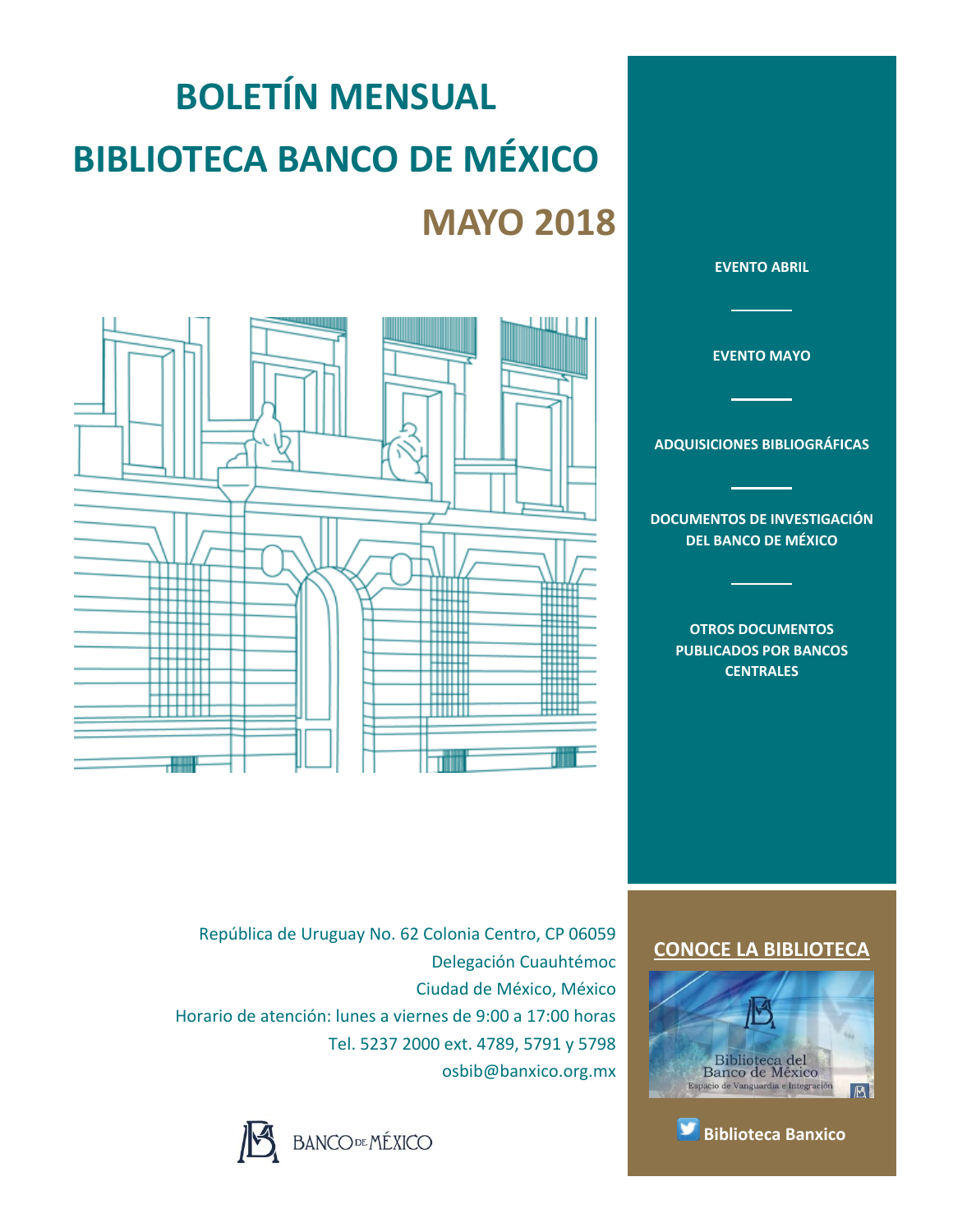# **BOLETÍN MENSUAL BIBLIOTECA BANCO DE MÉXICO MAYO 2018**



**[EVENTO ABRIL](#page-1-0) [EVENTO MAYO](#page-2-0) [ADQUISICIONES BIBLIOGRÁFICAS](#page-3-0) [DOCUMENTOS DE INVESTIGACIÓN](#page-4-0)  [DEL BANCO DE MÉXICO](#page-4-0) [OTROS DOCUMENTOS](#page-5-0)  [PUBLICADOS POR BANCOS](#page-5-0)** 

**[CENTRALES](#page-5-0)**

República de Uruguay No. 62 Colonia Centro, CP 06059 Delegación Cuauhtémoc Ciudad de México, México Horario de atención: lunes a viernes de 9:00 a 17:00 horas Tel. 5237 2000 ext. 4789, 5791 y 5798 osbib@banxico.org.mx



### **[CONOCE LA BIBLIOTECA](http://www.banxico.org.mx/servicios/informacion-general/biblioteca/index.html)**



**[Biblioteca Banxico](https://twitter.com/BiblioBanxico)**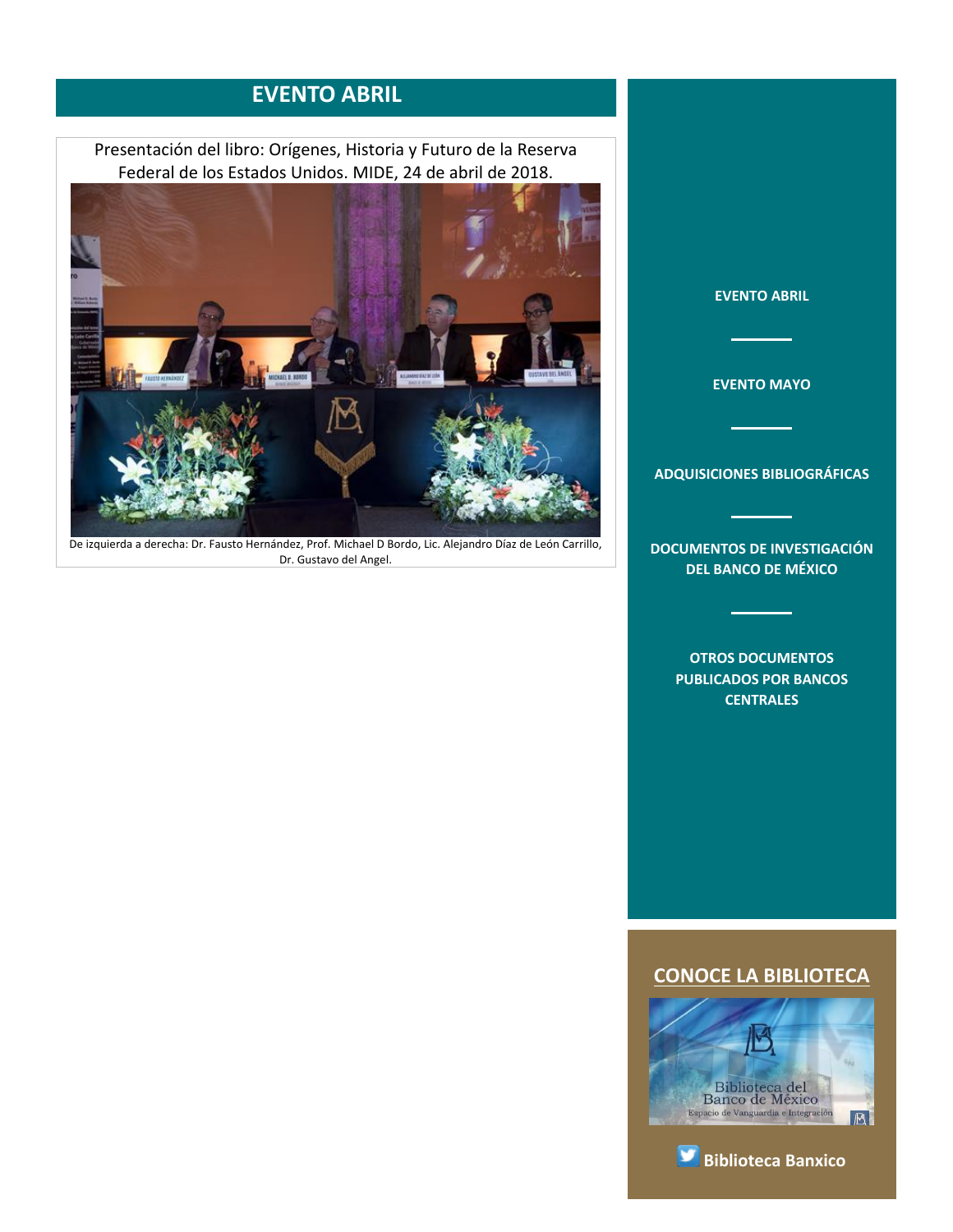### **EVENTO ABRIL**

<span id="page-1-0"></span>Presentación del libro: Orígenes, Historia y Futuro de la Reserva Federal de los Estados Unidos. MIDE, 24 de abril de 2018.



De izquierda a derecha: Dr. Fausto Hernández, Prof. Michael D Bordo, Lic. Alejandro Díaz de León Carrillo, Dr. Gustavo del Angel.





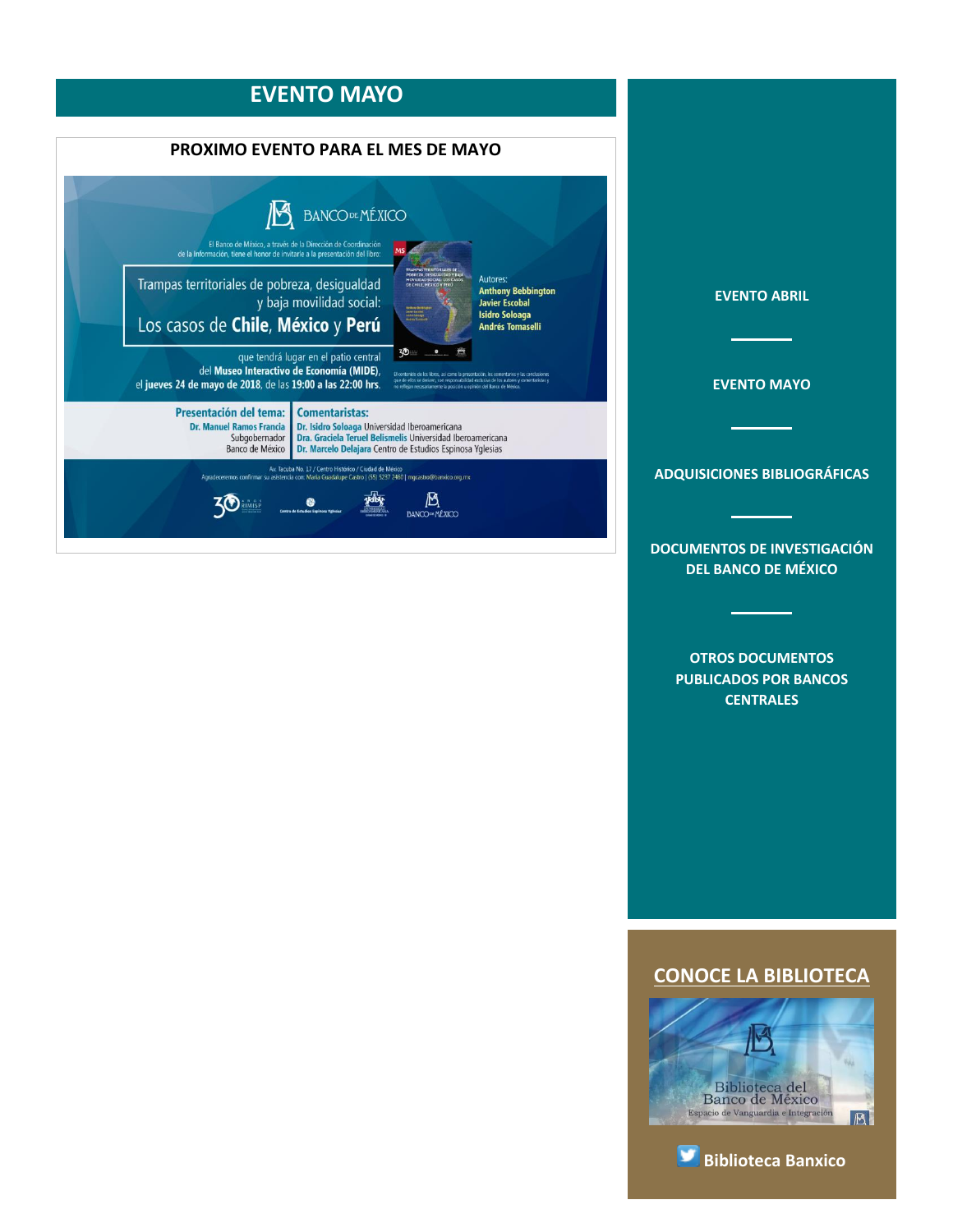<span id="page-2-0"></span>

**[OTROS DOCUMENTOS](#page-5-0)  [PUBLICADOS POR BANCOS](#page-5-0)  [CENTRALES](#page-5-0)**



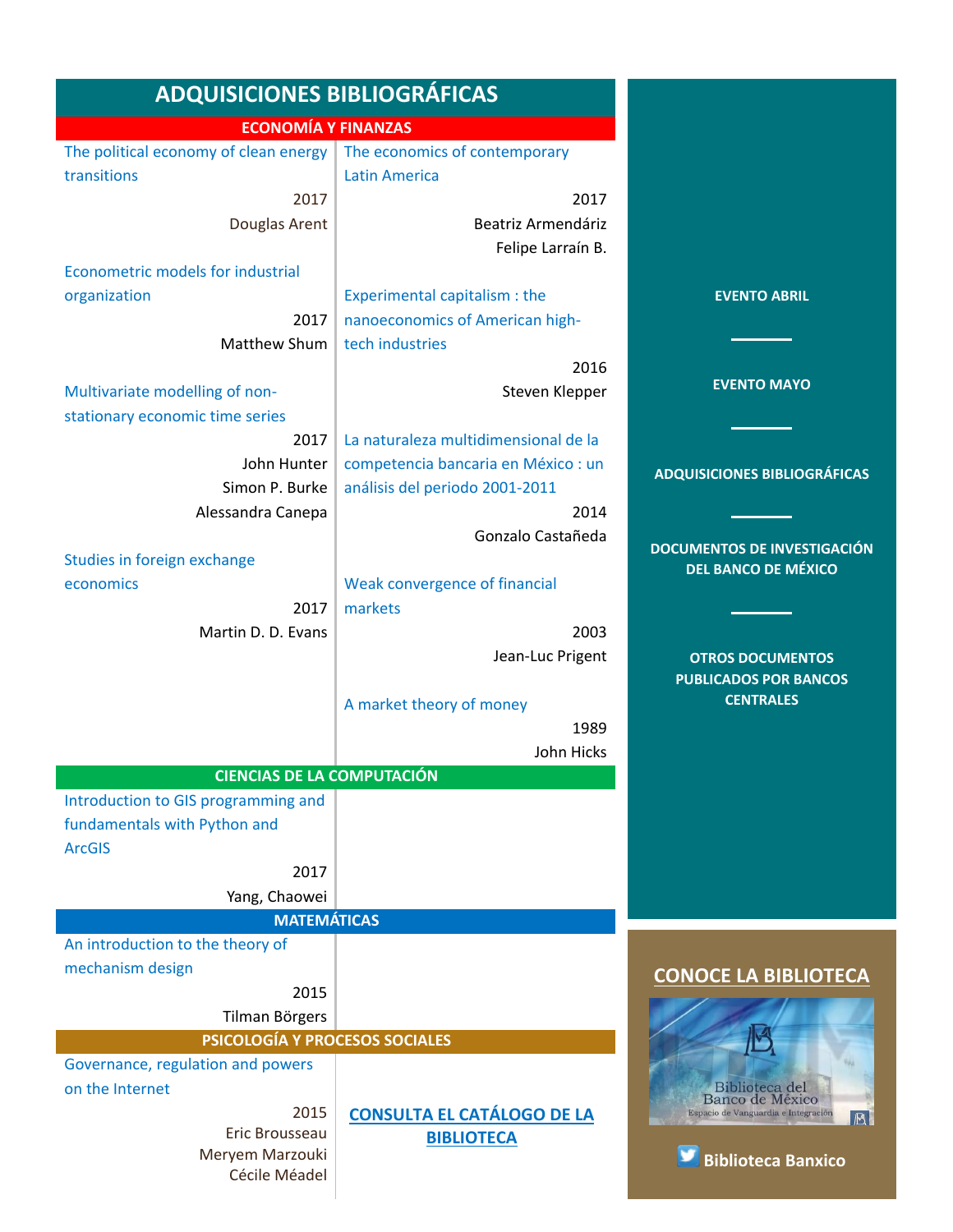<span id="page-3-0"></span>

| <b>ADQUISICIONES BIBLIOGRÁFICAS</b>                                         |                                         |                                                       |
|-----------------------------------------------------------------------------|-----------------------------------------|-------------------------------------------------------|
| <b>ECONOMÍA Y FINANZAS</b>                                                  |                                         |                                                       |
| The political economy of clean energy $\vert$ The economics of contemporary |                                         |                                                       |
| transitions                                                                 | <b>Latin America</b>                    |                                                       |
| 2017                                                                        | 2017                                    |                                                       |
| Douglas Arent                                                               | Beatriz Armendáriz<br>Felipe Larraín B. |                                                       |
| Econometric models for industrial                                           |                                         |                                                       |
| organization                                                                | Experimental capitalism : the           | <b>EVENTO ABRIL</b>                                   |
| 2017                                                                        | nanoeconomics of American high-         |                                                       |
| Matthew Shum                                                                | tech industries                         |                                                       |
|                                                                             | 2016                                    |                                                       |
| Multivariate modelling of non-<br>stationary economic time series           | Steven Klepper                          | <b>EVENTO MAYO</b>                                    |
| 2017                                                                        | La naturaleza multidimensional de la    |                                                       |
| John Hunter                                                                 | competencia bancaria en México : un     |                                                       |
| Simon P. Burke                                                              | análisis del periodo 2001-2011          | <b>ADQUISICIONES BIBLIOGRÁFICAS</b>                   |
| Alessandra Canepa                                                           | 2014                                    |                                                       |
|                                                                             | Gonzalo Castañeda                       |                                                       |
| Studies in foreign exchange                                                 |                                         | <b>DOCUMENTOS DE INVESTIGACIÓN</b>                    |
| economics                                                                   | Weak convergence of financial           | <b>DEL BANCO DE MÉXICO</b>                            |
| 2017                                                                        | markets                                 |                                                       |
| Martin D. D. Evans                                                          | 2003                                    |                                                       |
|                                                                             | Jean-Luc Prigent                        | <b>OTROS DOCUMENTOS</b>                               |
|                                                                             |                                         | <b>PUBLICADOS POR BANCOS</b>                          |
|                                                                             | A market theory of money                | <b>CENTRALES</b>                                      |
|                                                                             | 1989                                    |                                                       |
|                                                                             | John Hicks                              |                                                       |
| <b>CIENCIAS DE LA COMPUTACIÓN</b>                                           |                                         |                                                       |
| Introduction to GIS programming and                                         |                                         |                                                       |
| fundamentals with Python and                                                |                                         |                                                       |
| <b>ArcGIS</b>                                                               |                                         |                                                       |
| 2017                                                                        |                                         |                                                       |
| Yang, Chaowei                                                               |                                         |                                                       |
| <b>MATEMÁTICAS</b>                                                          |                                         |                                                       |
| An introduction to the theory of                                            |                                         |                                                       |
| mechanism design                                                            |                                         | <b>CONOCE LA BIBLIOTECA</b>                           |
| 2015                                                                        |                                         |                                                       |
| Tilman Börgers                                                              |                                         |                                                       |
| PSICOLOGÍA Y PROCESOS SOCIALES                                              |                                         |                                                       |
| Governance, regulation and powers                                           |                                         |                                                       |
| on the Internet                                                             |                                         | Biblioteca del<br>Banco de México                     |
| 2015                                                                        | <b>CONSULTA EL CATÁLOGO DE LA</b>       | Espacio de Vanguardia e Integración<br>$ \mathbb{B} $ |
| Eric Brousseau<br>Meryem Marzouki                                           | <b>BIBLIOTECA</b>                       |                                                       |
| Cécile Méadel                                                               |                                         | <b>Biblioteca Banxico</b>                             |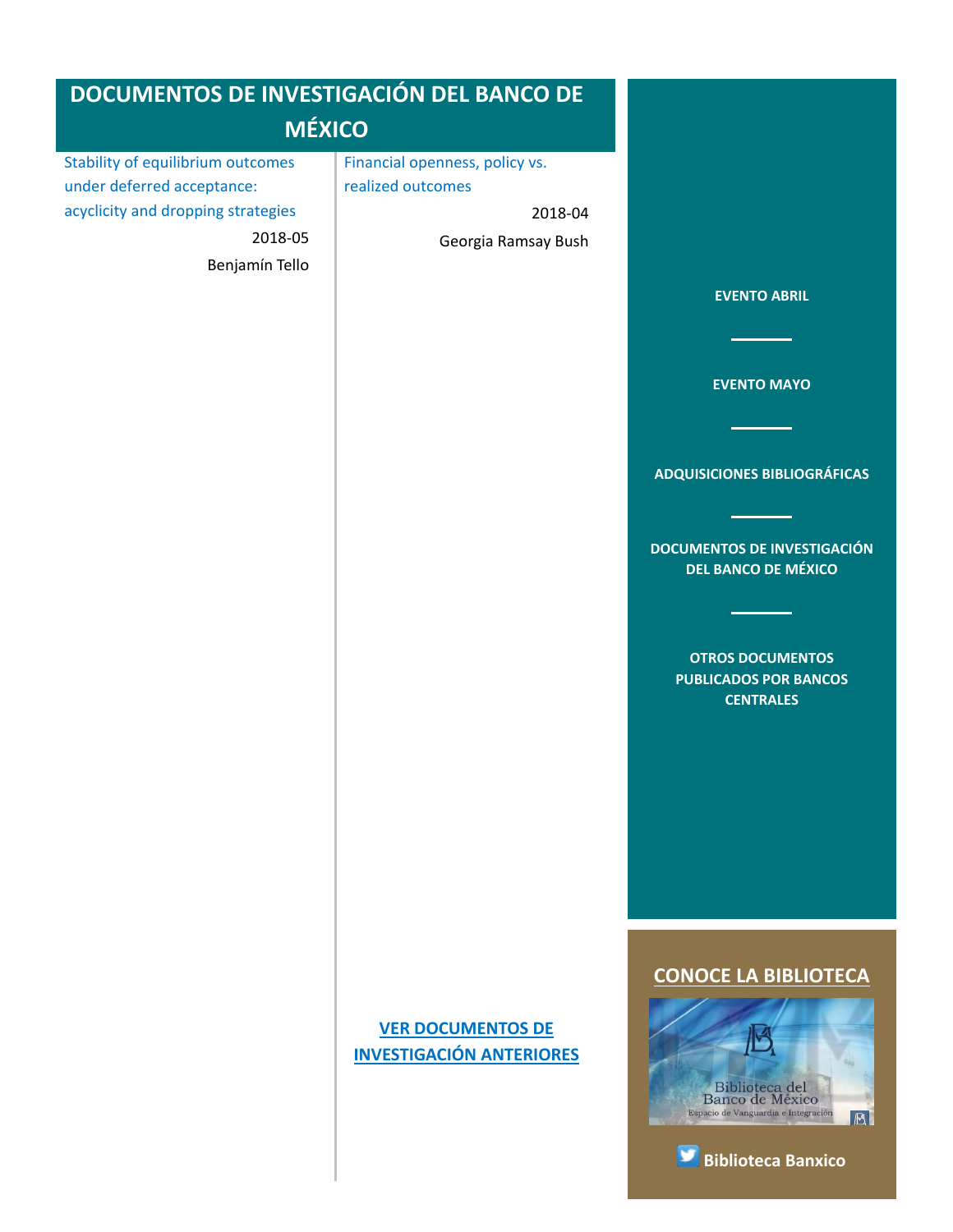<span id="page-4-0"></span>

| <b>DOCUMENTOS DE INVESTIGACIÓN DEL BANCO DE</b>                                                                                           |                                                                                       |                                                                                                                                                                                                                                     |
|-------------------------------------------------------------------------------------------------------------------------------------------|---------------------------------------------------------------------------------------|-------------------------------------------------------------------------------------------------------------------------------------------------------------------------------------------------------------------------------------|
| <b>MÉXICO</b>                                                                                                                             |                                                                                       |                                                                                                                                                                                                                                     |
| <b>Stability of equilibrium outcomes</b><br>under deferred acceptance:<br>acyclicity and dropping strategies<br>2018-05<br>Benjamín Tello | Financial openness, policy vs.<br>realized outcomes<br>2018-04<br>Georgia Ramsay Bush | <b>EVENTO ABRIL</b><br><b>EVENTO MAYO</b><br><b>ADQUISICIONES BIBLIOGRÁFICAS</b><br><b>DOCUMENTOS DE INVESTIGACIÓN</b><br><b>DEL BANCO DE MÉXICO</b><br><b>OTROS DOCUMENTOS</b><br><b>PUBLICADOS POR BANCOS</b><br><b>CENTRALES</b> |
|                                                                                                                                           | <b>VER DOCUMENTOS DE</b><br><b>INVESTIGACIÓN ANTERIORES</b>                           | <b>CONOCE LA BIBLIOTECA</b><br>Biblioteca del<br>Banco de México<br>Espacio de Vanguardia e Integración<br>B<br><b>Biblioteca Banxico</b>                                                                                           |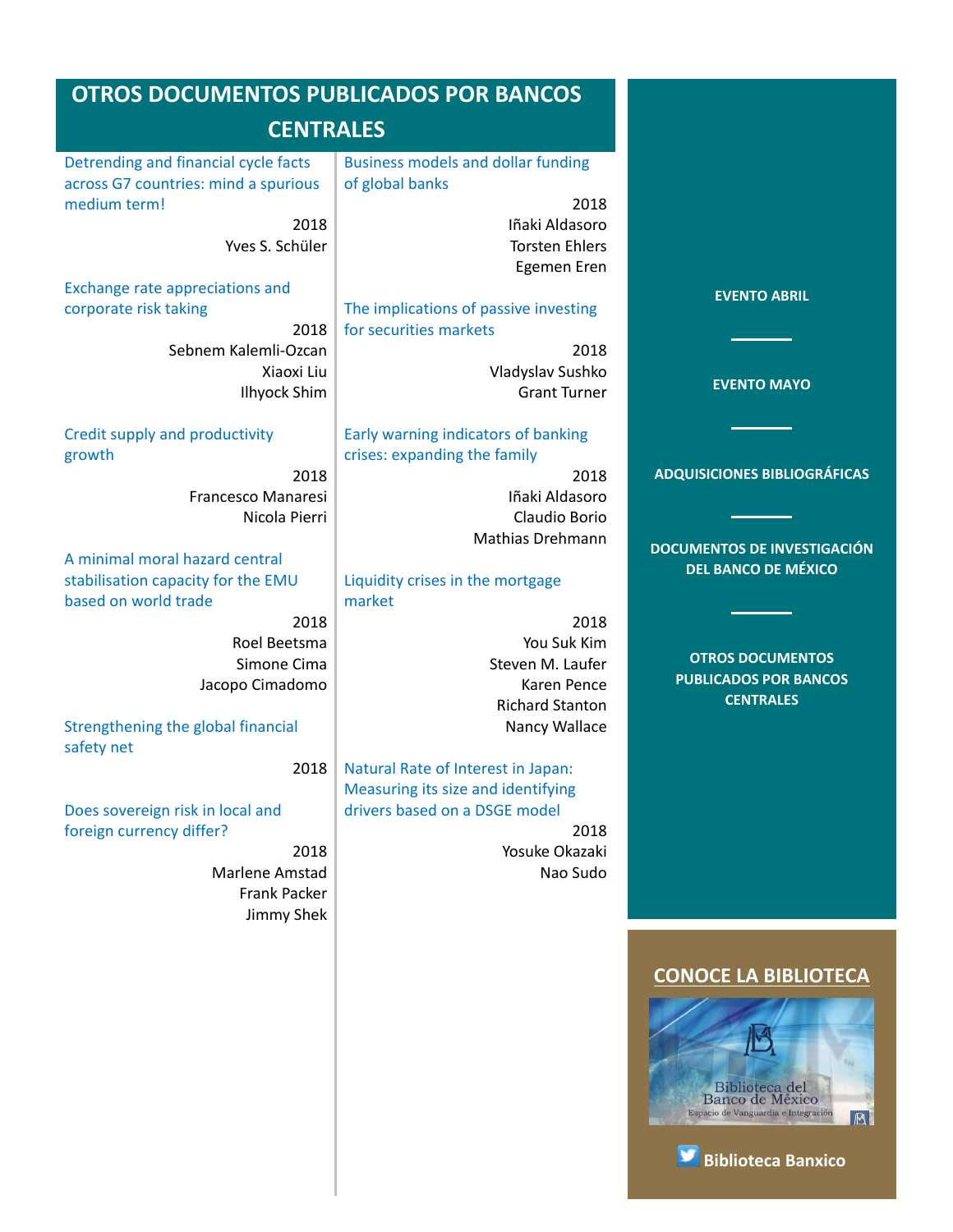<span id="page-5-0"></span>

| <b>OTROS DOCUMENTOS PUBLICADOS POR BANCOS</b>                                |                                                                     |                                     |
|------------------------------------------------------------------------------|---------------------------------------------------------------------|-------------------------------------|
| <b>CENTRALES</b>                                                             |                                                                     |                                     |
| Detrending and financial cycle facts<br>across G7 countries: mind a spurious | <b>Business models and dollar funding</b><br>of global banks        |                                     |
| medium term!                                                                 | 2018                                                                |                                     |
| 2018<br>Yves S. Schüler                                                      | Iñaki Aldasoro<br><b>Torsten Ehlers</b><br>Egemen Eren              |                                     |
| <b>Exchange rate appreciations and</b>                                       |                                                                     | <b>EVENTO ABRIL</b>                 |
| corporate risk taking                                                        | The implications of passive investing                               |                                     |
| 2018                                                                         | for securities markets                                              |                                     |
| Sebnem Kalemli-Ozcan                                                         | 2018                                                                |                                     |
| Xiaoxi Liu                                                                   | Vladyslav Sushko                                                    | <b>EVENTO MAYO</b>                  |
| <b>Ilhyock Shim</b>                                                          | <b>Grant Turner</b>                                                 |                                     |
| Credit supply and productivity<br>growth                                     | Early warning indicators of banking<br>crises: expanding the family |                                     |
| 2018                                                                         | 2018                                                                | <b>ADQUISICIONES BIBLIOGRÁFICAS</b> |
| Francesco Manaresi                                                           | Iñaki Aldasoro                                                      |                                     |
| Nicola Pierri                                                                | Claudio Borio                                                       |                                     |
|                                                                              | Mathias Drehmann                                                    | <b>DOCUMENTOS DE INVESTIGACIÓN</b>  |
| A minimal moral hazard central                                               |                                                                     | <b>DEL BANCO DE MÉXICO</b>          |
| stabilisation capacity for the EMU                                           | Liquidity crises in the mortgage                                    |                                     |
| based on world trade                                                         | market                                                              |                                     |
| 2018                                                                         | 2018                                                                |                                     |
| Roel Beetsma                                                                 | You Suk Kim                                                         | <b>OTROS DOCUMENTOS</b>             |
| Simone Cima<br>Jacopo Cimadomo                                               | Steven M. Laufer<br>Karen Pence                                     | <b>PUBLICADOS POR BANCOS</b>        |
|                                                                              | <b>Richard Stanton</b>                                              | <b>CENTRALES</b>                    |
| Strengthening the global financial<br>safety net                             | Nancy Wallace                                                       |                                     |
| 2018                                                                         | Natural Rate of Interest in Japan:                                  |                                     |
|                                                                              | Measuring its size and identifying                                  |                                     |
| Does sovereign risk in local and                                             | drivers based on a DSGE model                                       |                                     |
| foreign currency differ?                                                     | 2018                                                                |                                     |
| 2018                                                                         | Yosuke Okazaki                                                      |                                     |
| Marlene Amstad                                                               | Nao Sudo                                                            |                                     |
| Frank Packer                                                                 |                                                                     |                                     |
| Jimmy Shek                                                                   |                                                                     |                                     |
|                                                                              |                                                                     |                                     |
|                                                                              |                                                                     | <b>CONOCE LA BIBLIOTECA</b>         |



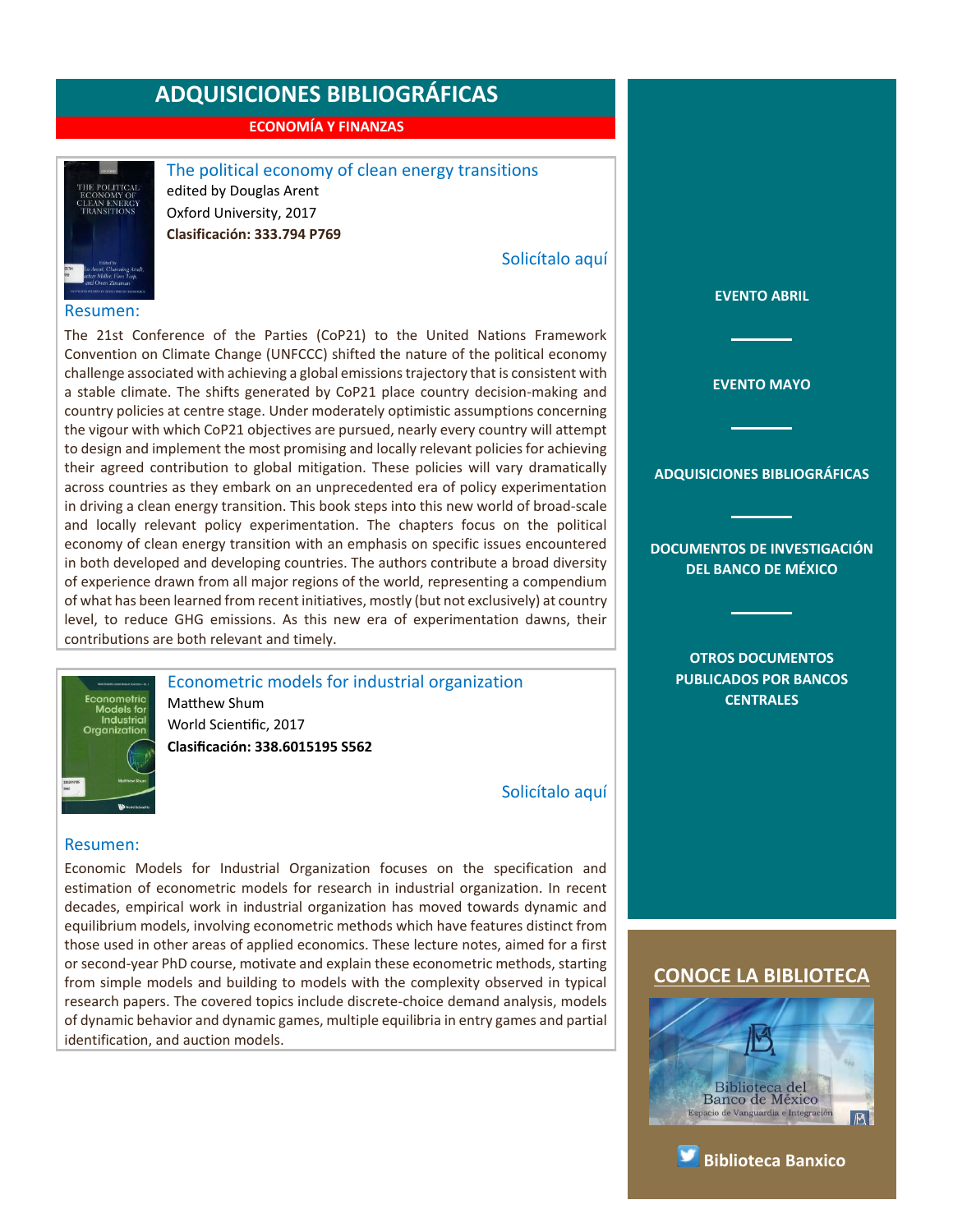**ECONOMÍA Y FINANZAS**



<span id="page-6-0"></span>The political economy of clean energy transitions edited by Douglas Arent Oxford University, 2017 **Clasificación: 333.794 P769**

[Solicítalo aquí](mailto:osbib@banxico.org.mx?subject=+Solicito%20el%20siguiente%20material&body=Solicito%20en%20préstamo%20el%20siguiente%20título%20%22The%20political%20economy%20of%20clean%20energy%20transitions%22%20con%20clasificación%20333.794%20P769)

#### Resumen:

The 21st Conference of the Parties (CoP21) to the United Nations Framework Convention on Climate Change (UNFCCC) shifted the nature of the political economy challenge associated with achieving a global emissions trajectory that is consistent with a stable climate. The shifts generated by CoP21 place country decision-making and country policies at centre stage. Under moderately optimistic assumptions concerning the vigour with which CoP21 objectives are pursued, nearly every country will attempt to design and implement the most promising and locally relevant policies for achieving their agreed contribution to global mitigation. These policies will vary dramatically across countries as they embark on an unprecedented era of policy experimentation in driving a clean energy transition. This book steps into this new world of broad-scale and locally relevant policy experimentation. The chapters focus on the political economy of clean energy transition with an emphasis on specific issues encountered in both developed and developing countries. The authors contribute a broad diversity of experience drawn from all major regions of the world, representing a compendium of what has been learned from recent initiatives, mostly (but not exclusively) at country level, to reduce GHG emissions. As this new era of experimentation dawns, their contributions are both relevant and timely.



<span id="page-6-1"></span>Econometric models for industrial organization Matthew Shum World Scientific, 2017 **Clasificación: 338.6015195 S562**

[Solicítalo aquí](mailto:osbib@banxico.org.mx?subject=+Solicito%20el%20siguiente%20material&body=Solicito%20en%20préstamo%20el%20siguiente%20título%20%22Econometric%20models%20for%20industrial%20organization%22%20con%20clasificación%20338.6015195%20S562)

#### Resumen:

Economic Models for Industrial Organization focuses on the specification and estimation of econometric models for research in industrial organization. In recent decades, empirical work in industrial organization has moved towards dynamic and equilibrium models, involving econometric methods which have features distinct from those used in other areas of applied economics. These lecture notes, aimed for a first or second-year PhD course, motivate and explain these econometric methods, starting from simple models and building to models with the complexity observed in typical research papers. The covered topics include discrete-choice demand analysis, models of dynamic behavior and dynamic games, multiple equilibria in entry games and partial identification, and auction models.

**[EVENTO ABRIL](#page-1-0)**

**[EVENTO MAYO](#page-2-0)**

**[ADQUISICIONES BIBLIOGRÁFICAS](#page-3-0)**

**[DOCUMENTOS DE INVESTIGACIÓN](#page-4-0)  [DEL BANCO DE MÉXICO](#page-4-0)**

> **[OTROS DOCUMENTOS](#page-5-0)  [PUBLICADOS POR BANCOS](#page-5-0)  [CENTRALES](#page-5-0)**



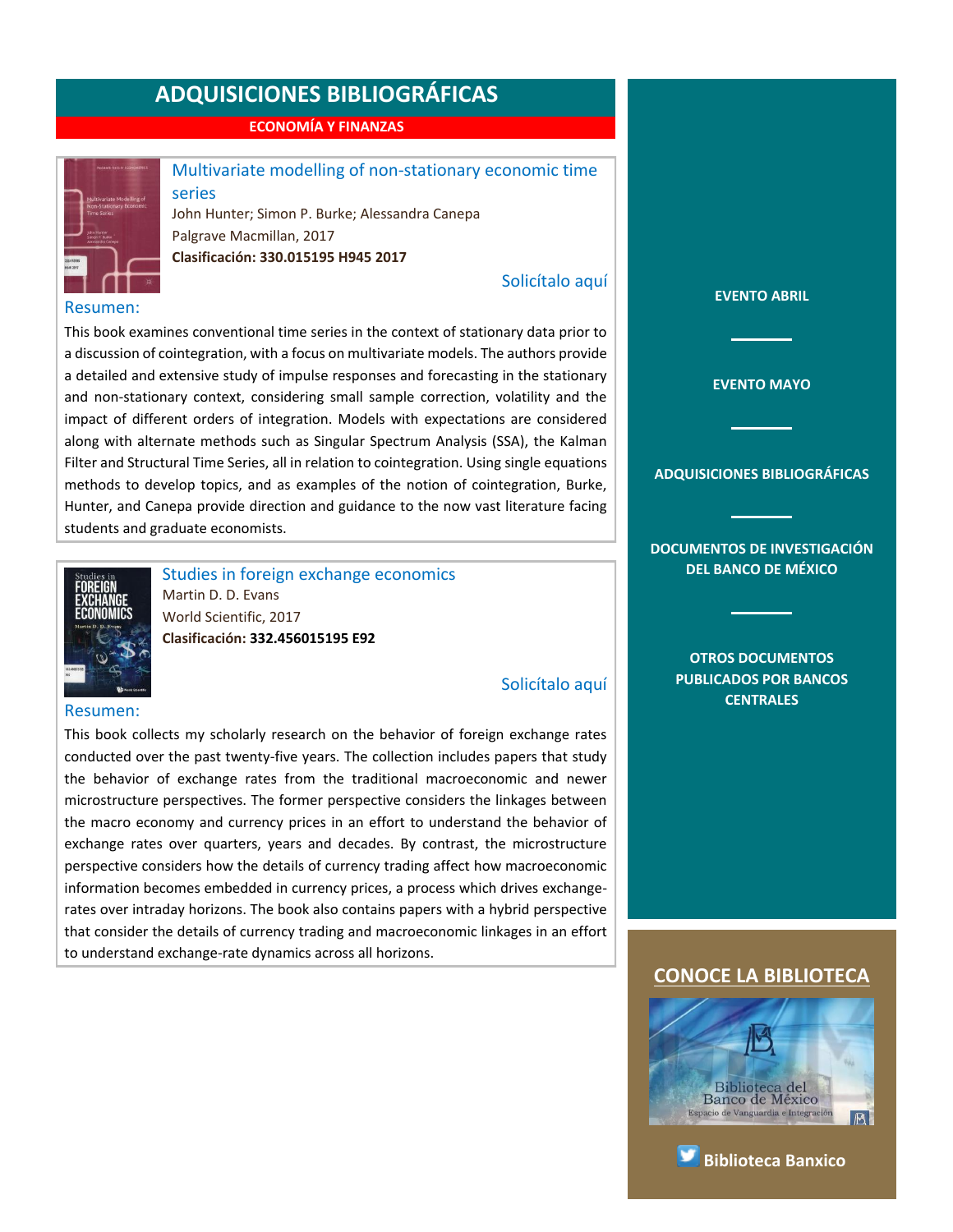**ECONOMÍA Y FINANZAS**



series

### <span id="page-7-0"></span>Multivariate modelling of non-stationary economic time

John Hunter; Simon P. Burke; Alessandra Canepa Palgrave Macmillan, 2017 **Clasificación: 330.015195 H945 2017**

[Solicítalo aquí](mailto:osbib@banxico.org.mx?subject=+Solicito%20el%20siguiente%20material&body=Solicito%20en%20préstamo%20el%20siguiente%20título%20%22Multivariate%20modelling%20of%20non-stationary%20economic%20time%20series%22%20con%20clasificación%20330.015195%20H945%202017)

#### Resumen:

This book examines conventional time series in the context of stationary data prior to a discussion of cointegration, with a focus on multivariate models. The authors provide a detailed and extensive study of impulse responses and forecasting in the stationary and non-stationary context, considering small sample correction, volatility and the impact of different orders of integration. Models with expectations are considered along with alternate methods such as Singular Spectrum Analysis (SSA), the Kalman Filter and Structural Time Series, all in relation to cointegration. Using single equations methods to develop topics, and as examples of the notion of cointegration, Burke, Hunter, and Canepa provide direction and guidance to the now vast literature facing students and graduate economists.



<span id="page-7-1"></span>Studies in foreign exchange economics Martin D. D. Evans World Scientific, 2017 **Clasificación: 332.456015195 E92**

#### [Solicítalo aquí](mailto:osbib@banxico.org.mx?subject=+Solicito%20el%20siguiente%20material&body=Solicito%20en%20préstamo%20el%20siguiente%20título%20%22Studies%20in%20foreign%20exchange%20economics%22%20con%20clasificación%20332.456015195%20E92)

#### Resumen:

This book collects my scholarly research on the behavior of foreign exchange rates conducted over the past twenty-five years. The collection includes papers that study the behavior of exchange rates from the traditional macroeconomic and newer microstructure perspectives. The former perspective considers the linkages between the macro economy and currency prices in an effort to understand the behavior of exchange rates over quarters, years and decades. By contrast, the microstructure perspective considers how the details of currency trading affect how macroeconomic information becomes embedded in currency prices, a process which drives exchangerates over intraday horizons. The book also contains papers with a hybrid perspective that consider the details of currency trading and macroeconomic linkages in an effort to understand exchange-rate dynamics across all horizons.

**[EVENTO MAYO](#page-2-0)**

**[EVENTO ABRIL](#page-1-0)**

**[ADQUISICIONES BIBLIOGRÁFICAS](#page-3-0)**

**[DOCUMENTOS DE INVESTIGACIÓN](#page-4-0)  [DEL BANCO DE MÉXICO](#page-4-0)**

> **[OTROS DOCUMENTOS](#page-5-0)  [PUBLICADOS POR BANCOS](#page-5-0)  [CENTRALES](#page-5-0)**



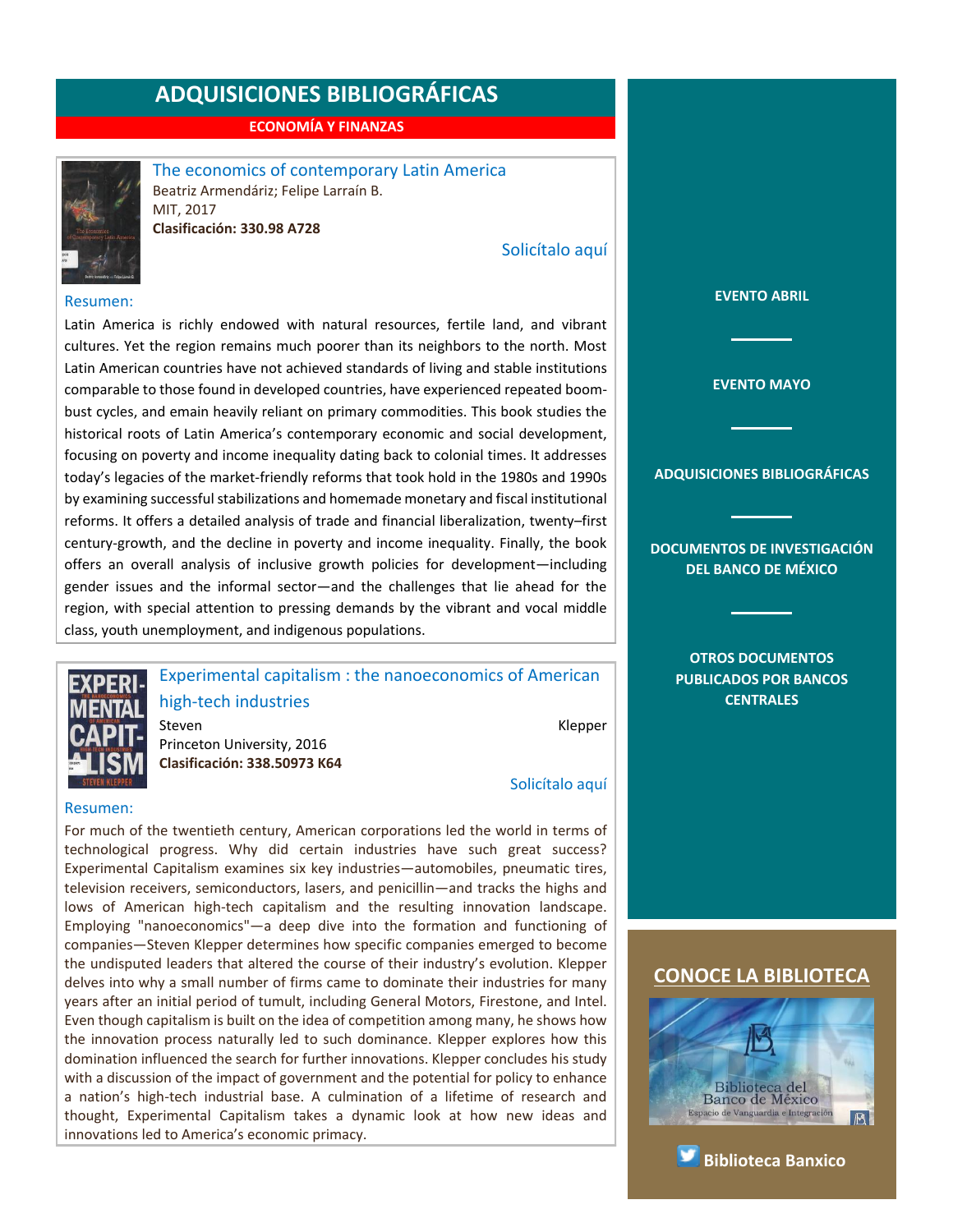**ECONOMÍA Y FINANZAS**



<span id="page-8-0"></span>The economics of contemporary Latin America Beatriz Armendáriz; Felipe Larraín B. MIT, 2017

**Clasificación: 330.98 A728**

[Solicítalo aquí](mailto:osbib@banxico.org.mx?subject=+Solicito%20el%20siguiente%20material&body=Solicito%20en%20préstamo%20el%20siguiente%20título%20%22The%20economics%20of%20contemporary%20Latin%20America%22%20con%20clasificación%20330.98%20A728)

#### Resumen:

Latin America is richly endowed with natural resources, fertile land, and vibrant cultures. Yet the region remains much poorer than its neighbors to the north. Most Latin American countries have not achieved standards of living and stable institutions comparable to those found in developed countries, have experienced repeated boombust cycles, and emain heavily reliant on primary commodities. This book studies the historical roots of Latin America's contemporary economic and social development, focusing on poverty and income inequality dating back to colonial times. It addresses today's legacies of the market-friendly reforms that took hold in the 1980s and 1990s by examining successful stabilizations and homemade monetary and fiscal institutional reforms. It offers a detailed analysis of trade and financial liberalization, twenty–first century-growth, and the decline in poverty and income inequality. Finally, the book offers an overall analysis of inclusive growth policies for development—including gender issues and the informal sector—and the challenges that lie ahead for the region, with special attention to pressing demands by the vibrant and vocal middle class, youth unemployment, and indigenous populations.



<span id="page-8-1"></span>Experimental capitalism : the nanoeconomics of American high-tech industries

Steven **Kleiper** Klepper Princeton University, 2016 **Clasificación: 338.50973 K64**

[Solicítalo aquí](mailto:osbib@banxico.org.mx?subject=+Solicito%20el%20siguiente%20material&body=Solicito%20en%20préstamo%20el%20siguiente%20título%20%22Experimental%20capitalism%22%20con%20clasificación%20338.50973%20K64)

#### Resumen:

For much of the twentieth century, American corporations led the world in terms of technological progress. Why did certain industries have such great success? Experimental Capitalism examines six key industries—automobiles, pneumatic tires, television receivers, semiconductors, lasers, and penicillin—and tracks the highs and lows of American high-tech capitalism and the resulting innovation landscape. Employing "nanoeconomics"—a deep dive into the formation and functioning of companies—Steven Klepper determines how specific companies emerged to become the undisputed leaders that altered the course of their industry's evolution. Klepper delves into why a small number of firms came to dominate their industries for many years after an initial period of tumult, including General Motors, Firestone, and Intel. Even though capitalism is built on the idea of competition among many, he shows how the innovation process naturally led to such dominance. Klepper explores how this domination influenced the search for further innovations. Klepper concludes his study with a discussion of the impact of government and the potential for policy to enhance a nation's high-tech industrial base. A culmination of a lifetime of research and thought, Experimental Capitalism takes a dynamic look at how new ideas and innovations led to America's economic primacy.

**[EVENTO ABRIL](#page-1-0)**

**[EVENTO MAYO](#page-2-0)**

**[ADQUISICIONES BIBLIOGRÁFICAS](#page-3-0)**

**[DOCUMENTOS DE INVESTIGACIÓN](#page-4-0)  [DEL BANCO DE MÉXICO](#page-4-0)**

> **[OTROS DOCUMENTOS](#page-5-0)  [PUBLICADOS POR BANCOS](#page-5-0)  [CENTRALES](#page-5-0)**





**[Biblioteca Banxico](https://twitter.com/BiblioBanxico)**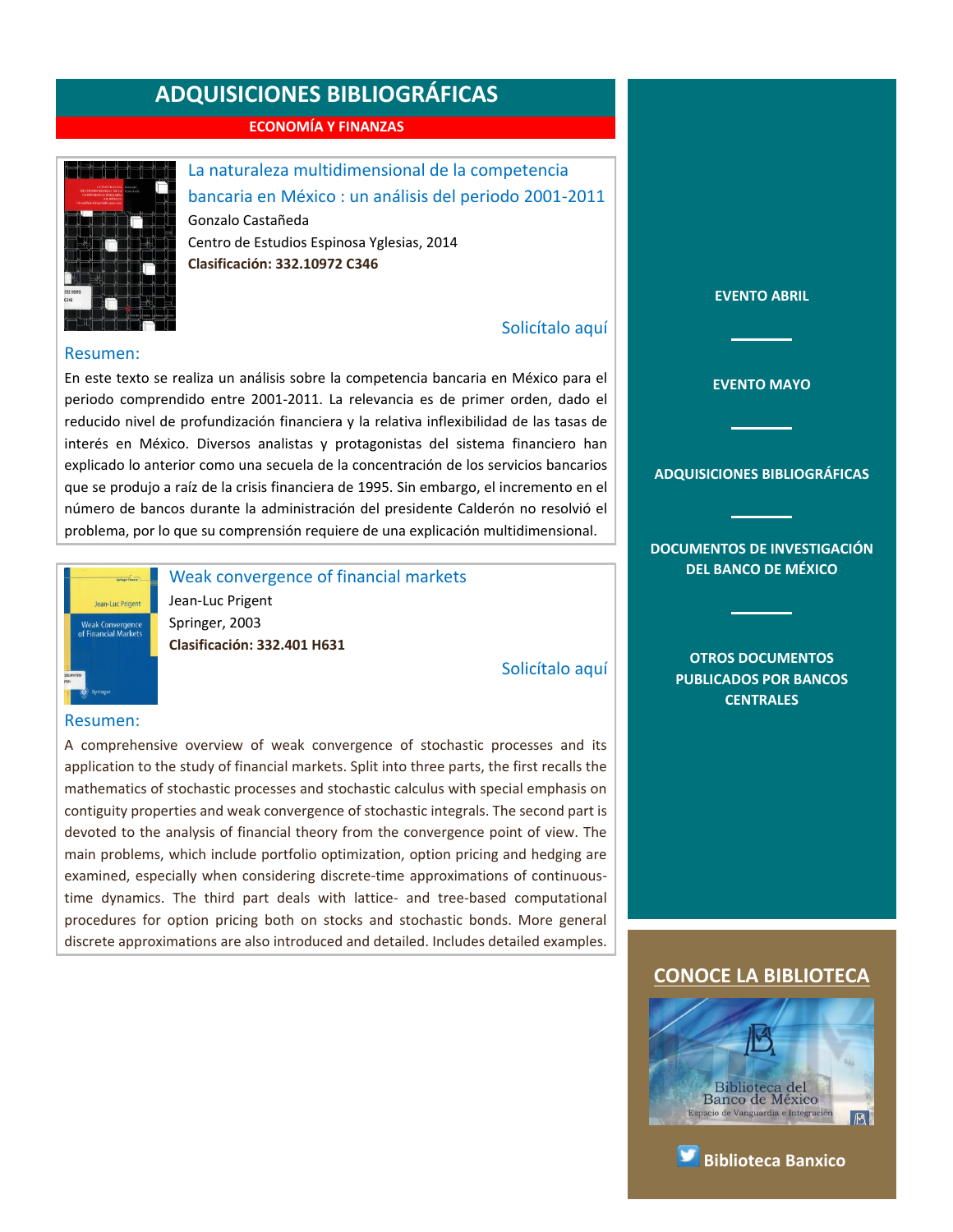**ECONOMÍA Y FINANZAS**



<span id="page-9-0"></span>La naturaleza multidimensional de la competencia bancaria en México : un análisis del periodo 2001-2011 Gonzalo Castañeda Centro de Estudios Espinosa Yglesias, 2014 **Clasificación: 332.10972 C346**

#### [Solicítalo aquí](mailto:osbib@banxico.org.mx?subject=+Solicito%20el%20siguiente%20material&body=Solicito%20en%20préstamo%20el%20siguiente%20título%20%22La%20naturaleza%20multidimensional%20de%20la%20competencia%20bancaria%20en%20México%22%20con%20clasificación%20332.10972%20C346)

#### Resumen:

En este texto se realiza un análisis sobre la competencia bancaria en México para el periodo comprendido entre 2001-2011. La relevancia es de primer orden, dado el reducido nivel de profundización financiera y la relativa inflexibilidad de las tasas de interés en México. Diversos analistas y protagonistas del sistema financiero han explicado lo anterior como una secuela de la concentración de los servicios bancarios que se produjo a raíz de la crisis financiera de 1995. Sin embargo, el incremento en el número de bancos durante la administración del presidente Calderón no resolvió el problema, por lo que su comprensión requiere de una explicación multidimensional.



<span id="page-9-1"></span>Weak convergence of financial markets

Jean-Luc Prigent Springer, 2003 **Clasificación: 332.401 H631**

[Solicítalo aquí](mailto:osbib@banxico.org.mx?subject=+Solicito%20el%20siguiente%20material&body=Solicito%20en%20préstamo%20el%20siguiente%20título%20%22Weak%20convergence%20of%20financial%20markets%22%20con%20clasificación%20332.401%20H631)

#### Resumen:

A comprehensive overview of weak convergence of stochastic processes and its application to the study of financial markets. Split into three parts, the first recalls the mathematics of stochastic processes and stochastic calculus with special emphasis on contiguity properties and weak convergence of stochastic integrals. The second part is devoted to the analysis of financial theory from the convergence point of view. The main problems, which include portfolio optimization, option pricing and hedging are examined, especially when considering discrete-time approximations of continuoustime dynamics. The third part deals with lattice- and tree-based computational procedures for option pricing both on stocks and stochastic bonds. More general discrete approximations are also introduced and detailed. Includes detailed examples.

**[EVENTO ABRIL](#page-1-0)**

**[EVENTO MAYO](#page-2-0)**

**[ADQUISICIONES BIBLIOGRÁFICAS](#page-3-0)**

**[DOCUMENTOS DE INVESTIGACIÓN](#page-4-0)  [DEL BANCO DE MÉXICO](#page-4-0)**

> **[OTROS DOCUMENTOS](#page-5-0)  [PUBLICADOS POR BANCOS](#page-5-0)  [CENTRALES](#page-5-0)**



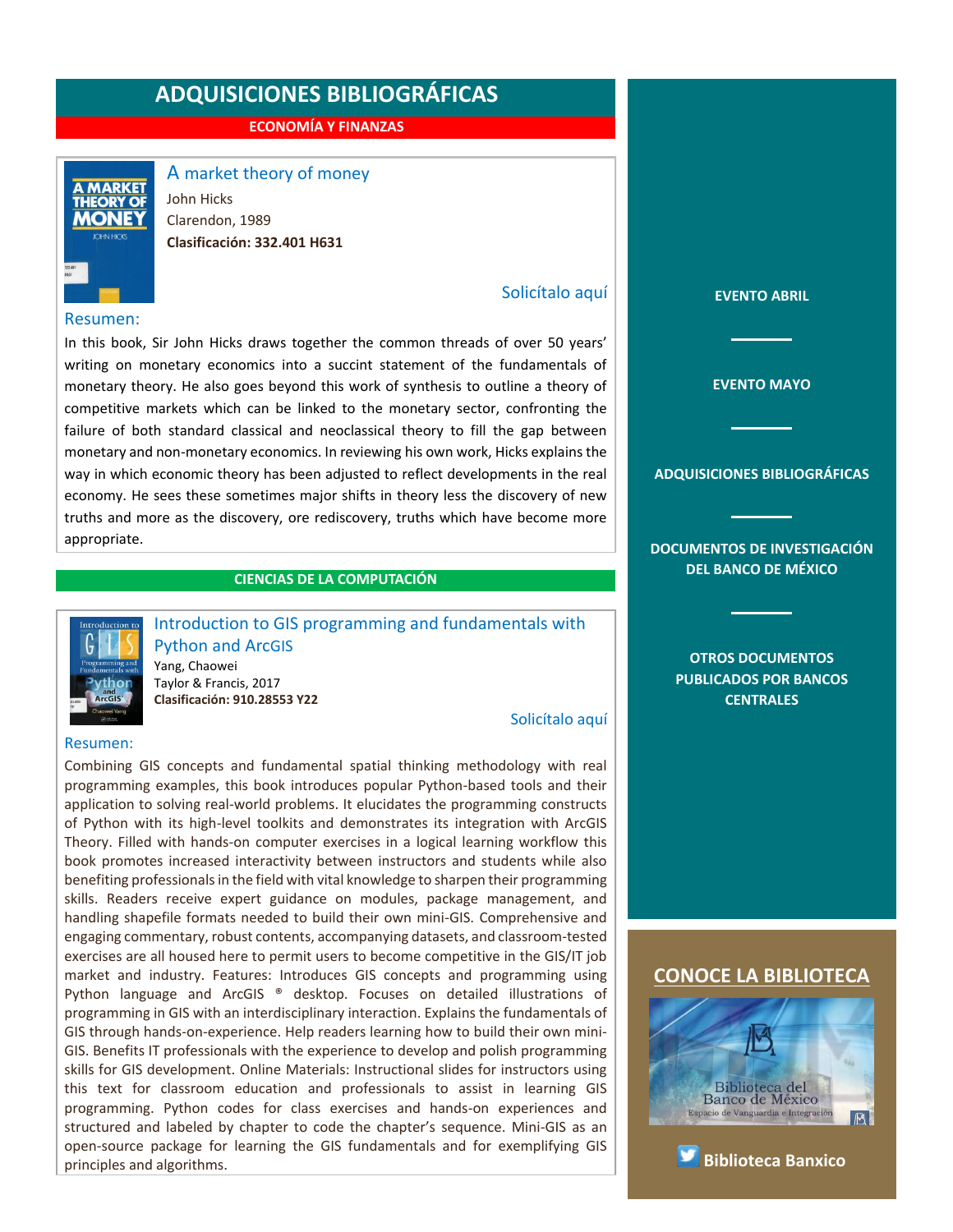**ECONOMÍA Y FINANZAS**



<span id="page-10-0"></span>A market theory of money

John Hicks Clarendon, 1989 **Clasificación: 332.401 H631**

#### Resumen:

In this book, Sir John Hicks draws together the common threads of over 50 years' writing on monetary economics into a succint statement of the fundamentals of monetary theory. He also goes beyond this work of synthesis to outline a theory of competitive markets which can be linked to the monetary sector, confronting the failure of both standard classical and neoclassical theory to fill the gap between monetary and non-monetary economics. In reviewing his own work, Hicks explains the way in which economic theory has been adjusted to reflect developments in the real economy. He sees these sometimes major shifts in theory less the discovery of new truths and more as the discovery, ore rediscovery, truths which have become more appropriate.

#### **CIENCIAS DE LA COMPUTACIÓN**



<span id="page-10-1"></span>Introduction to GIS programming and fundamentals with Python and ArcGIS Yang, Chaowei Taylor & Francis, 2017 **Clasificación: 910.28553 Y22**

[Solicítalo aquí](mailto:osbib@banxico.org.mx?subject=+Solicito%20el%20siguiente%20material&body=Solicito%20en%20préstamo%20el%20siguiente%20título%20%22Introduction%20to%20GIS%20programming%20and%20fundamentals%20with%20Python%20and%20ArcGIS%22%20con%20clasificación%20910.28553%20Y22)

[Solicítalo aquí](mailto:osbib@banxico.org.mx?subject=+Solicito%20el%20siguiente%20material&body=Solicito%20en%20préstamo%20el%20siguiente%20título%20%22A%20market%20theory%20of%20money%22%20con%20clasificación%20332.401%20H631)

#### Resumen:

Combining GIS concepts and fundamental spatial thinking methodology with real programming examples, this book introduces popular Python-based tools and their application to solving real-world problems. It elucidates the programming constructs of Python with its high-level toolkits and demonstrates its integration with ArcGIS Theory. Filled with hands-on computer exercises in a logical learning workflow this book promotes increased interactivity between instructors and students while also benefiting professionals in the field with vital knowledge to sharpen their programming skills. Readers receive expert guidance on modules, package management, and handling shapefile formats needed to build their own mini-GIS. Comprehensive and engaging commentary, robust contents, accompanying datasets, and classroom-tested exercises are all housed here to permit users to become competitive in the GIS/IT job market and industry. Features: Introduces GIS concepts and programming using Python language and ArcGIS ® desktop. Focuses on detailed illustrations of programming in GIS with an interdisciplinary interaction. Explains the fundamentals of GIS through hands-on-experience. Help readers learning how to build their own mini-GIS. Benefits IT professionals with the experience to develop and polish programming skills for GIS development. Online Materials: Instructional slides for instructors using this text for classroom education and professionals to assist in learning GIS programming. Python codes for class exercises and hands-on experiences and structured and labeled by chapter to code the chapter's sequence. Mini-GIS as an open-source package for learning the GIS fundamentals and for exemplifying GIS principles and algorithms.

**[EVENTO MAYO](#page-2-0) [ADQUISICIONES BIBLIOGRÁFICAS](#page-3-0) [DOCUMENTOS DE INVESTIGACIÓN](#page-4-0)  [DEL BANCO DE MÉXICO](#page-4-0) [OTROS DOCUMENTOS](#page-5-0)  [PUBLICADOS POR BANCOS](#page-5-0)  [CENTRALES](#page-5-0) [CONOCE LA BIBLIOTECA](http://www.banxico.org.mx/servicios/informacion-general/biblioteca/index.html)**

**[EVENTO ABRIL](#page-1-0)**



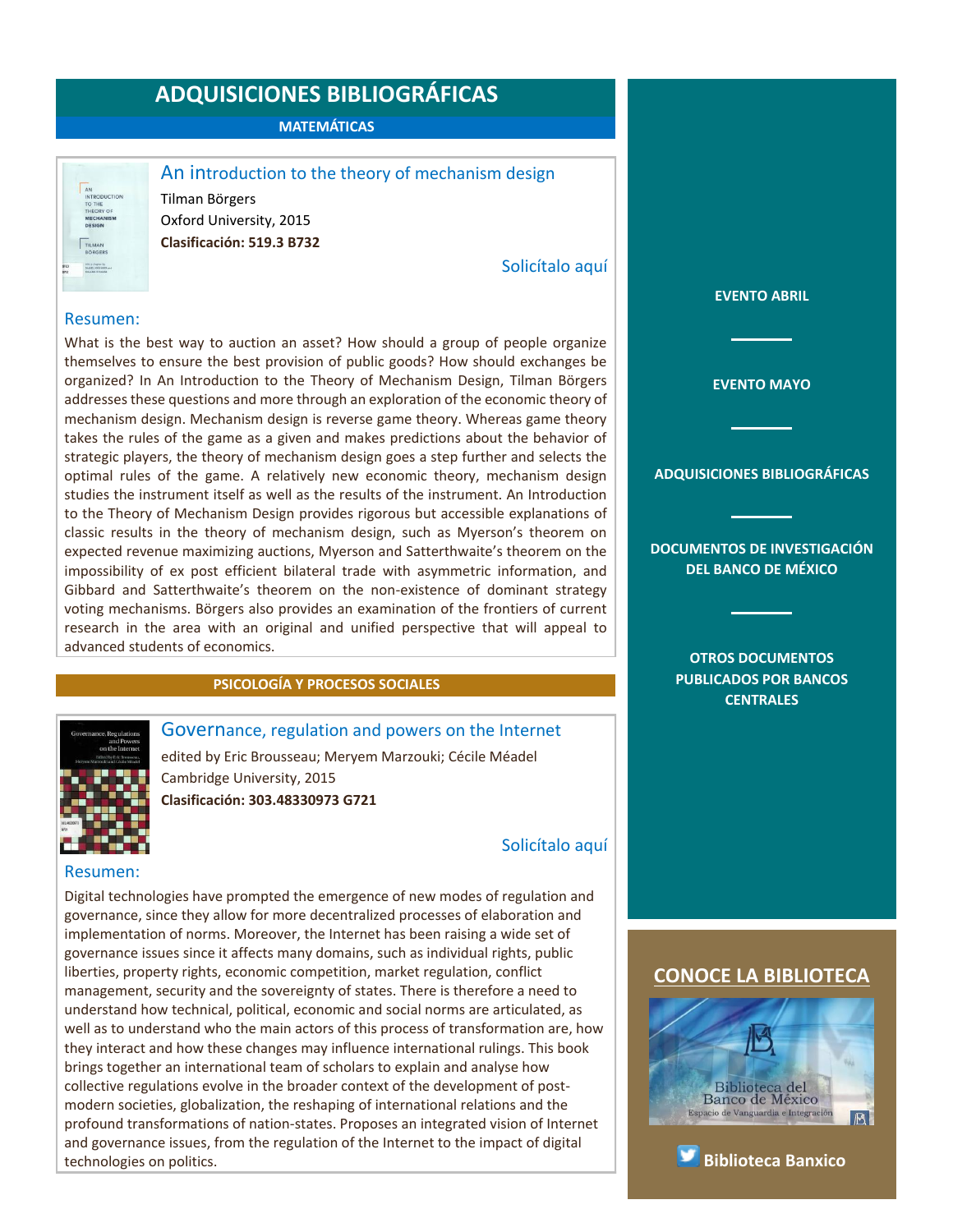**MATEMÁTICAS**

| <b>INTRODUCTION</b>                             |
|-------------------------------------------------|
| TO THE                                          |
| THEORY OF                                       |
| <b>MECHANISM</b>                                |
| <b>DESIGN</b>                                   |
| <b>TILMAN</b>                                   |
| <b>BÖRGERS</b>                                  |
| with a chapter be-<br><b>DANIEL ANZAWER</b> and |
| <b>FILAND YTRAUSE</b><br>Wat                    |

<span id="page-11-0"></span>An introduction to the theory of mechanism design

Tilman Börgers Oxford University, 2015 **Clasificación: 519.3 B732**

[Solicítalo aquí](mailto:osbib@banxico.org.mx?subject=+Solicito%20el%20siguiente%20material&body=Solicito%20en%20préstamo%20el%20siguiente%20título%20%22An%20introduction%20to%20the%20theory%20of%20mechanism%20design%22%20con%20clasificación%20519.3%20B732)

#### Resumen:

What is the best way to auction an asset? How should a group of people organize themselves to ensure the best provision of public goods? How should exchanges be organized? In An Introduction to the Theory of Mechanism Design, Tilman Börgers addresses these questions and more through an exploration of the economic theory of mechanism design. Mechanism design is reverse game theory. Whereas game theory takes the rules of the game as a given and makes predictions about the behavior of strategic players, the theory of mechanism design goes a step further and selects the optimal rules of the game. A relatively new economic theory, mechanism design studies the instrument itself as well as the results of the instrument. An Introduction to the Theory of Mechanism Design provides rigorous but accessible explanations of classic results in the theory of mechanism design, such as Myerson's theorem on expected revenue maximizing auctions, Myerson and Satterthwaite's theorem on the impossibility of ex post efficient bilateral trade with asymmetric information, and Gibbard and Satterthwaite's theorem on the non-existence of dominant strategy voting mechanisms. Börgers also provides an examination of the frontiers of current research in the area with an original and unified perspective that will appeal to advanced students of economics.

#### **PSICOLOGÍA Y PROCESOS SOCIALES**

#### <span id="page-11-1"></span>Governance, regulation and powers on the Internet

edited by Eric Brousseau; Meryem Marzouki; Cécile Méadel Cambridge University, 2015 **Clasificación: 303.48330973 G721**

[Solicítalo aquí](mailto:osbib@banxico.org.mx?subject=+Solicito%20el%20siguiente%20material&body=Solicito%20en%20préstamo%20el%20siguiente%20título%20%22Governance,%20regulation%20and%20powers%20on%20the%20Internet%22%20con%20clasificación%20303.48330973%20G721)

#### Resumen:

Digital technologies have prompted the emergence of new modes of regulation and governance, since they allow for more decentralized processes of elaboration and implementation of norms. Moreover, the Internet has been raising a wide set of governance issues since it affects many domains, such as individual rights, public liberties, property rights, economic competition, market regulation, conflict management, security and the sovereignty of states. There is therefore a need to understand how technical, political, economic and social norms are articulated, as well as to understand who the main actors of this process of transformation are, how they interact and how these changes may influence international rulings. This book brings together an international team of scholars to explain and analyse how collective regulations evolve in the broader context of the development of postmodern societies, globalization, the reshaping of international relations and the profound transformations of nation-states. Proposes an integrated vision of Internet and governance issues, from the regulation of the Internet to the impact of digital technologies on politics.

**[DEL BANCO DE MÉXICO](#page-4-0) [OTROS DOCUMENTOS](#page-5-0)  [PUBLICADOS POR BANCOS](#page-5-0)** 

**[CENTRALES](#page-5-0)**

**[EVENTO ABRIL](#page-1-0)**

**[EVENTO MAYO](#page-2-0)**

**[ADQUISICIONES BIBLIOGRÁFICAS](#page-3-0)**

**[DOCUMENTOS DE INVESTIGACIÓN](#page-4-0)** 



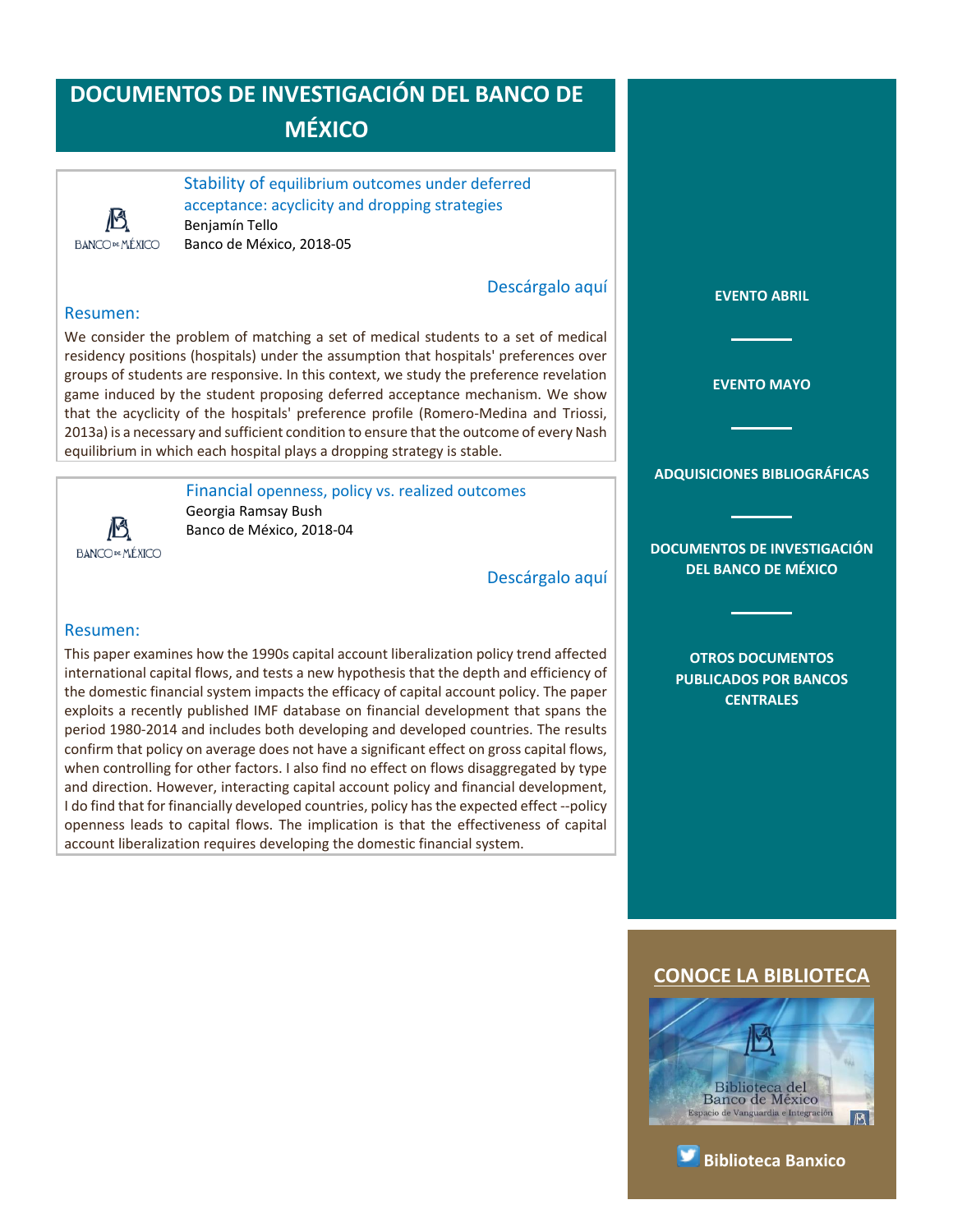### **DOCUMENTOS DE INVESTIGACIÓN DEL BANCO DE MÉXICO**



<span id="page-12-0"></span>Stability of equilibrium outcomes under deferred acceptance: acyclicity and dropping strategies Benjamín Tello Banco de México, 2018-05

#### [Descárgalo aquí](http://www.banxico.org.mx/publicaciones-y-discursos/publicaciones/documentos-de-investigacion/banxico/%7B5FCC7038-0691-6617-BC10-8FE4F38FE9D1%7D.pdf)

#### Resumen:

We consider the problem of matching a set of medical students to a set of medical residency positions (hospitals) under the assumption that hospitals' preferences over groups of students are responsive. In this context, we study the preference revelation game induced by the student proposing deferred acceptance mechanism. We show that the acyclicity of the hospitals' preference profile (Romero-Medina and Triossi, 2013a) is a necessary and sufficient condition to ensure that the outcome of every Nash equilibrium in which each hospital plays a dropping strategy is stable.

13 **BANCO DE MÉXICO**  <span id="page-12-1"></span>Financial openness, policy vs. realized outcomes Georgia Ramsay Bush Banco de México, 2018-04

[Descárgalo aquí](http://www.banxico.org.mx/publicaciones-y-discursos/publicaciones/documentos-de-investigacion/banxico/%7BE16460C4-3D08-3867-9521-F8F2B4290212%7D.pdf)

#### Resumen:

This paper examines how the 1990s capital account liberalization policy trend affected international capital flows, and tests a new hypothesis that the depth and efficiency of the domestic financial system impacts the efficacy of capital account policy. The paper exploits a recently published IMF database on financial development that spans the period 1980-2014 and includes both developing and developed countries. The results confirm that policy on average does not have a significant effect on gross capital flows, when controlling for other factors. I also find no effect on flows disaggregated by type and direction. However, interacting capital account policy and financial development, I do find that for financially developed countries, policy has the expected effect --policy openness leads to capital flows. The implication is that the effectiveness of capital account liberalization requires developing the domestic financial system.

**[EVENTO MAYO](#page-2-0)**

**[EVENTO ABRIL](#page-1-0)**

#### **[ADQUISICIONES BIBLIOGRÁFICAS](#page-3-0)**

**[DOCUMENTOS DE INVESTIGACIÓN](#page-4-0)  [DEL BANCO DE MÉXICO](#page-4-0)**

> **[OTROS DOCUMENTOS](#page-5-0)  [PUBLICADOS POR BANCOS](#page-5-0)  [CENTRALES](#page-5-0)**



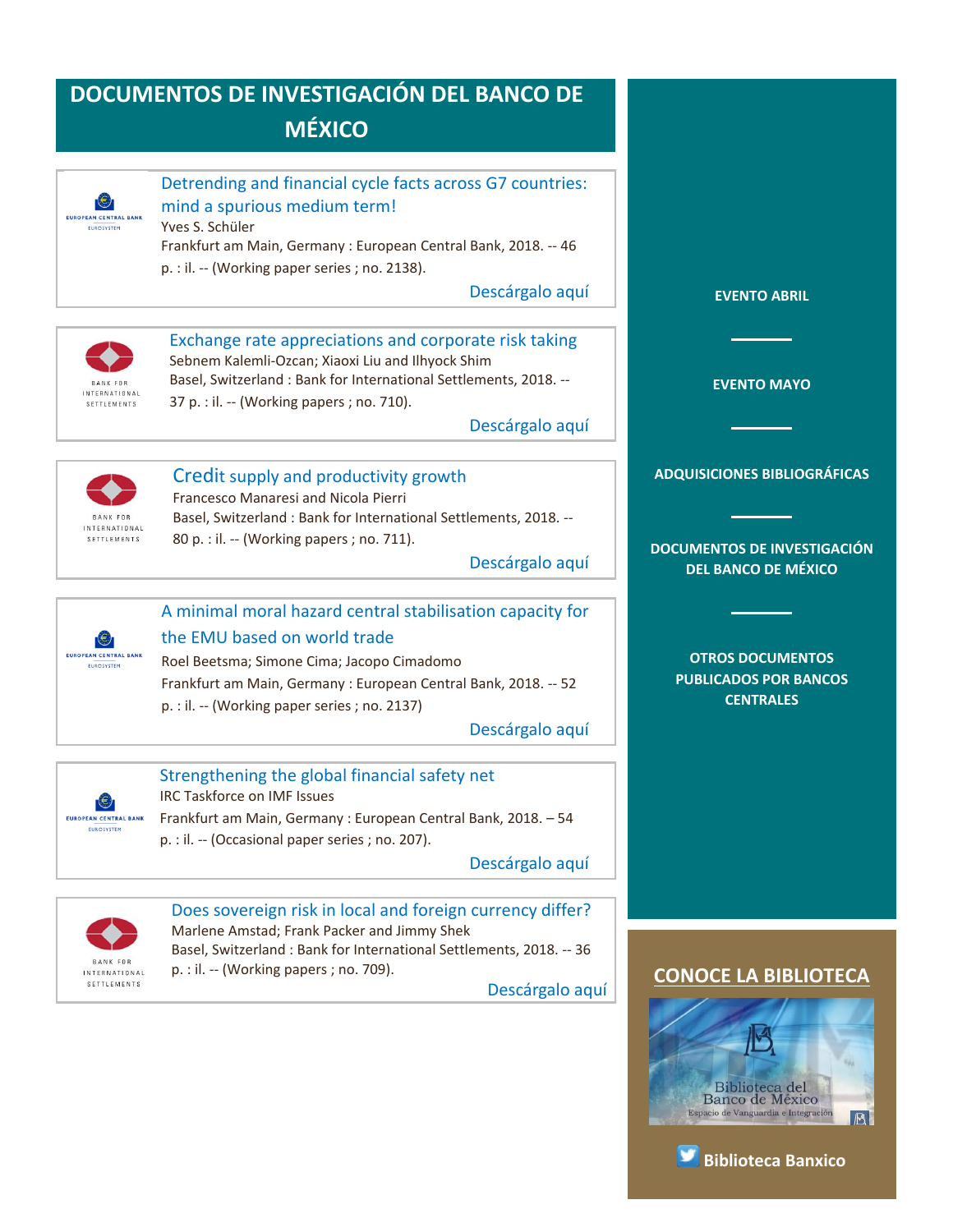<span id="page-13-2"></span><span id="page-13-1"></span><span id="page-13-0"></span>

<span id="page-13-5"></span><span id="page-13-4"></span><span id="page-13-3"></span>Marlene Amstad; Frank Packer and Jimmy Shek

BANK FOR INTERNATIONAL SETTLEMENTS

Basel, Switzerland : Bank for International Settlements, 2018. -- 36 p. : il. -- (Working papers ; no. 709).

[Descárgalo aquí](https://www.bis.org/publ/work709.pdf)